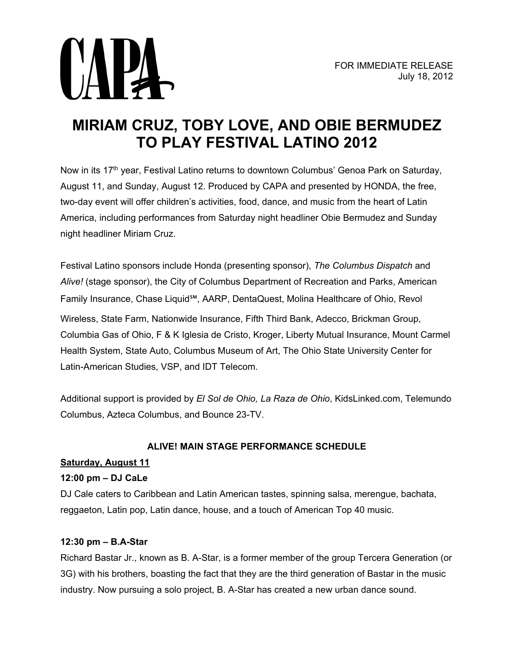

# **MIRIAM CRUZ, TOBY LOVE, AND OBIE BERMUDEZ TO PLAY FESTIVAL LATINO 2012**

Now in its 17<sup>th</sup> year, Festival Latino returns to downtown Columbus' Genoa Park on Saturday, August 11, and Sunday, August 12. Produced by CAPA and presented by HONDA, the free, two-day event will offer children's activities, food, dance, and music from the heart of Latin America, including performances from Saturday night headliner Obie Bermudez and Sunday night headliner Miriam Cruz.

Festival Latino sponsors include Honda (presenting sponsor), *The Columbus Dispatch* and *Alive!* (stage sponsor), the City of Columbus Department of Recreation and Parks, American Family Insurance, Chase Liquid℠, AARP, DentaQuest, Molina Healthcare of Ohio, Revol Wireless, State Farm, Nationwide Insurance, Fifth Third Bank, Adecco, Brickman Group, Columbia Gas of Ohio, F & K Iglesia de Cristo, Kroger, Liberty Mutual Insurance, Mount Carmel Health System, State Auto, Columbus Museum of Art, The Ohio State University Center for Latin-American Studies, VSP, and IDT Telecom.

Additional support is provided by *El Sol de Ohio, La Raza de Ohio*, KidsLinked.com, Telemundo Columbus, Azteca Columbus, and Bounce 23-TV.

# **ALIVE! MAIN STAGE PERFORMANCE SCHEDULE**

# **Saturday, August 11**

# **12:00 pm – DJ CaLe**

DJ Cale caters to Caribbean and Latin American tastes, spinning salsa, merengue, bachata, reggaeton, Latin pop, Latin dance, house, and a touch of American Top 40 music.

# **12:30 pm – B.A-Star**

Richard Bastar Jr., known as B. A-Star, is a former member of the group Tercera Generation (or 3G) with his brothers, boasting the fact that they are the third generation of Bastar in the music industry. Now pursuing a solo project, B. A-Star has created a new urban dance sound.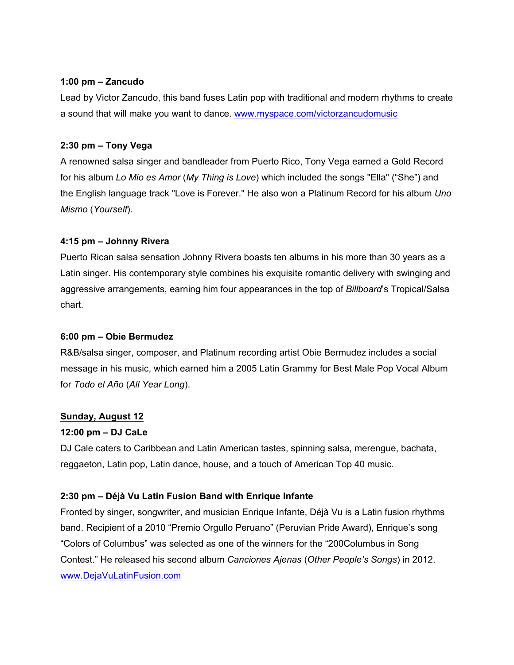#### **1:00 pm – Zancudo**

Lead by Victor Zancudo, this band fuses Latin pop with traditional and modern rhythms to create a sound that will make you want to dance. [www.myspace.com/victorzancudomusic](http://www.myspace.com/victorzancudomusic) 

## **2:30 pm – Tony Vega**

A renowned salsa singer and bandleader from Puerto Rico, Tony Vega earned a Gold Record for his album *Lo Mio es Amor* (*My Thing is Love*) which included the songs "Ella" ("She") and the English language track "Love is Forever." He also won a Platinum Record for his album *Uno Mismo* (*Yourself*).

# **4:15 pm – Johnny Rivera**

Puerto Rican salsa sensation Johnny Rivera boasts ten albums in his more than 30 years as a Latin singer. His contemporary style combines his exquisite romantic delivery with swinging and aggressive arrangements, earning him four appearances in the top of *Billboard*'s Tropical/Salsa chart.

## **6:00 pm – Obie Bermudez**

R&B/salsa singer, composer, and Platinum recording artist Obie Bermudez includes a social message in his music, which earned him a 2005 Latin Grammy for Best Male Pop Vocal Album for *Todo el Año* (*All Year Long*).

## **Sunday, August 12**

## **12:00 pm – DJ CaLe**

DJ Cale caters to Caribbean and Latin American tastes, spinning salsa, merengue, bachata, reggaeton, Latin pop, Latin dance, house, and a touch of American Top 40 music.

# **2:30 pm – Déjà Vu Latin Fusion Band with Enrique Infante**

Fronted by singer, songwriter, and musician Enrique Infante, Déjà Vu is a Latin fusion rhythms band. Recipient of a 2010 "Premio Orgullo Peruano" (Peruvian Pride Award), Enrique's song "Colors of Columbus" was selected as one of the winners for the "200Columbus in Song Contest." He released his second album *Canciones Ajenas* (*Other People's Songs*) in 2012. [www.DejaVuLatinFusion.com](http://www.dejavulatinfusion.com/)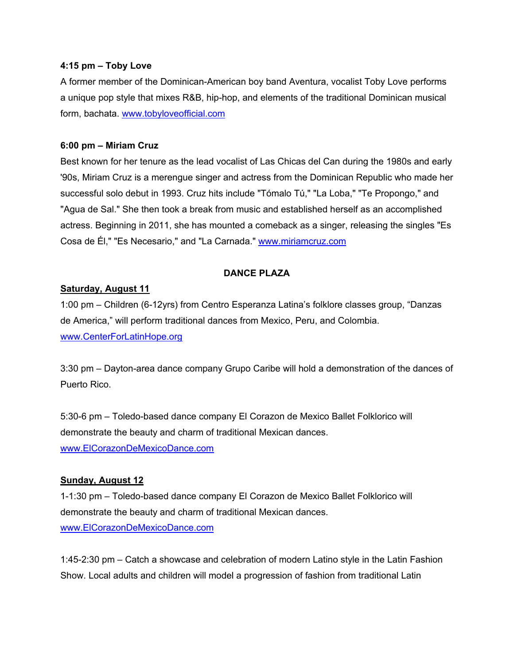#### **4:15 pm – Toby Love**

A former member of the Dominican-American boy band Aventura, vocalist Toby Love performs a unique pop style that mixes R&B, hip-hop, and elements of the traditional Dominican musical form, bachata. [www.tobyloveofficial.com](http://www.tobyloveofficial.com/)

#### **6:00 pm – Miriam Cruz**

Best known for her tenure as the lead vocalist of Las Chicas del Can during the 1980s and early '90s, Miriam Cruz is a merengue singer and actress from the Dominican Republic who made her successful solo debut in 1993. Cruz hits include "Tómalo Tú," "La Loba," "Te Propongo," and "Agua de Sal." She then took a break from music and established herself as an accomplished actress. Beginning in 2011, she has mounted a comeback as a singer, releasing the singles "Es Cosa de Él," "Es Necesario," and "La Carnada." [www.miriamcruz.com](http://www.miriamcruz.com/) 

# **DANCE PLAZA**

## **Saturday, August 11**

1:00 pm – Children (6-12yrs) from Centro Esperanza Latina's folklore classes group, "Danzas de America," will perform traditional dances from Mexico, Peru, and Colombia. [www.CenterForLatinHope.org](http://www.centerforlatinhope.org/) 

3:30 pm – Dayton-area dance company Grupo Caribe will hold a demonstration of the dances of Puerto Rico.

5:30-6 pm – Toledo-based dance company El Corazon de Mexico Ballet Folklorico will demonstrate the beauty and charm of traditional Mexican dances. [www.ElCorazonDeMexicoDance.com](http://www.elcorazondemexicodance.com/)

## **Sunday, August 12**

1-1:30 pm – Toledo-based dance company El Corazon de Mexico Ballet Folklorico will demonstrate the beauty and charm of traditional Mexican dances. [www.ElCorazonDeMexicoDance.com](http://www.elcorazondemexicodance.com/) 

1:45-2:30 pm – Catch a showcase and celebration of modern Latino style in the Latin Fashion Show. Local adults and children will model a progression of fashion from traditional Latin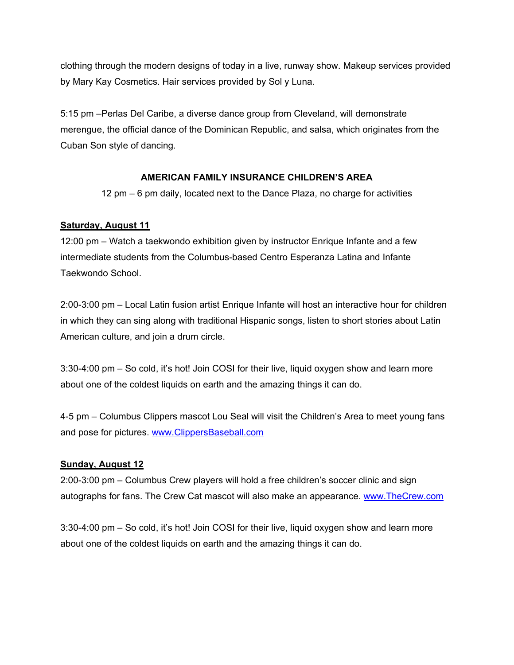clothing through the modern designs of today in a live, runway show. Makeup services provided by Mary Kay Cosmetics. Hair services provided by Sol y Luna.

5:15 pm –Perlas Del Caribe, a diverse dance group from Cleveland, will demonstrate merengue, the official dance of the Dominican Republic, and salsa, which originates from the Cuban Son style of dancing.

# **AMERICAN FAMILY INSURANCE CHILDREN'S AREA**

12 pm – 6 pm daily, located next to the Dance Plaza, no charge for activities

# **Saturday, August 11**

12:00 pm – Watch a taekwondo exhibition given by instructor Enrique Infante and a few intermediate students from the Columbus-based Centro Esperanza Latina and Infante Taekwondo School.

2:00-3:00 pm – Local Latin fusion artist Enrique Infante will host an interactive hour for children in which they can sing along with traditional Hispanic songs, listen to short stories about Latin American culture, and join a drum circle.

3:30-4:00 pm – So cold, it's hot! Join COSI for their live, liquid oxygen show and learn more about one of the coldest liquids on earth and the amazing things it can do.

4-5 pm – Columbus Clippers mascot Lou Seal will visit the Children's Area to meet young fans and pose for pictures. [www.ClippersBaseball.com](http://www.clippersbaseball.com/) 

## **Sunday, August 12**

2:00-3:00 pm – Columbus Crew players will hold a free children's soccer clinic and sign autographs for fans. The Crew Cat mascot will also make an appearance. [www.TheCrew.com](http://www.thecrew.com/) 

3:30-4:00 pm – So cold, it's hot! Join COSI for their live, liquid oxygen show and learn more about one of the coldest liquids on earth and the amazing things it can do.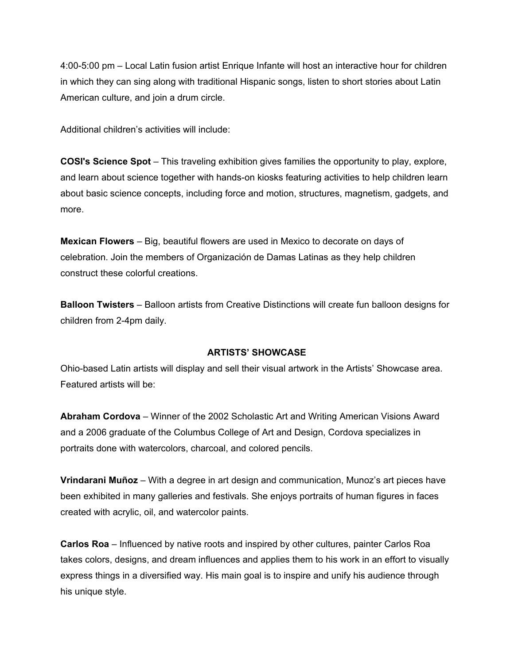4:00-5:00 pm – Local Latin fusion artist Enrique Infante will host an interactive hour for children in which they can sing along with traditional Hispanic songs, listen to short stories about Latin American culture, and join a drum circle.

Additional children's activities will include:

**COSI's Science Spot** – This traveling exhibition gives families the opportunity to play, explore, and learn about science together with hands-on kiosks featuring activities to help children learn about basic science concepts, including force and motion, structures, magnetism, gadgets, and more.

**Mexican Flowers** – Big, beautiful flowers are used in Mexico to decorate on days of celebration. Join the members of Organización de Damas Latinas as they help children construct these colorful creations.

**Balloon Twisters** – Balloon artists from Creative Distinctions will create fun balloon designs for children from 2-4pm daily.

#### **ARTISTS' SHOWCASE**

Ohio-based Latin artists will display and sell their visual artwork in the Artists' Showcase area. Featured artists will be:

**Abraham Cordova** – Winner of the 2002 Scholastic Art and Writing American Visions Award and a 2006 graduate of the Columbus College of Art and Design, Cordova specializes in portraits done with watercolors, charcoal, and colored pencils.

**Vrindarani Muñoz** – With a degree in art design and communication, Munoz's art pieces have been exhibited in many galleries and festivals. She enjoys portraits of human figures in faces created with acrylic, oil, and watercolor paints.

**Carlos Roa** – Influenced by native roots and inspired by other cultures, painter Carlos Roa takes colors, designs, and dream influences and applies them to his work in an effort to visually express things in a diversified way. His main goal is to inspire and unify his audience through his unique style.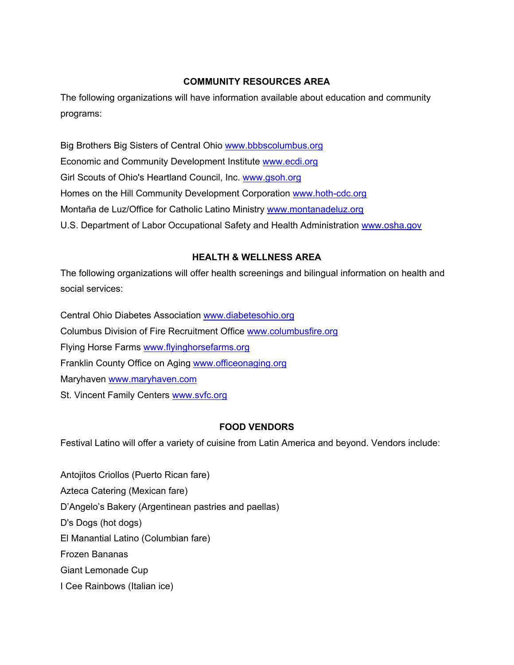# **COMMUNITY RESOURCES AREA**

The following organizations will have information available about education and community programs:

Big Brothers Big Sisters of Central Ohio [www.bbbscolumbus.org](http://www.bbbscolumbus.org/)  Economic and Community Development Institute [www.ecdi.org](http://www.ecdi.org/)  Girl Scouts of Ohio's Heartland Council, Inc. [www.gsoh.org](http://www.gsoh.org/)  Homes on the Hill Community Development Corporation [www.hoth-cdc.org](http://www.hoth-cdc.org/)  Montaña de Luz/Office for Catholic Latino Ministry [www.montanadeluz.org](http://www.montanadeluz.org/)  U.S. Department of Labor Occupational Safety and Health Administration www.osha.gov

# **HEALTH & WELLNESS AREA**

The following organizations will offer health screenings and bilingual information on health and social services:

Central Ohio Diabetes Association [www.diabetesohio.org](http://www.diabetesohio.org/)  Columbus Division of Fire Recruitment Office [www.columbusfire.org](http://www.columbusfire.org/)  Flying Horse Farms [www.flyinghorsefarms.org](http://www.flyinghorsefarms.org/)  Franklin County Office on Aging [www.officeonaging.org](http://www.officeonaging.org/)  Maryhaven [www.maryhaven.com](http://www.maryhaven.com/)  St. Vincent Family Centers www.svfc.org

# **FOOD VENDORS**

Festival Latino will offer a variety of cuisine from Latin America and beyond. Vendors include:

Antojitos Criollos (Puerto Rican fare) Azteca Catering (Mexican fare) D'Angelo's Bakery (Argentinean pastries and paellas) D's Dogs (hot dogs) El Manantial Latino (Columbian fare) Frozen Bananas Giant Lemonade Cup I Cee Rainbows (Italian ice)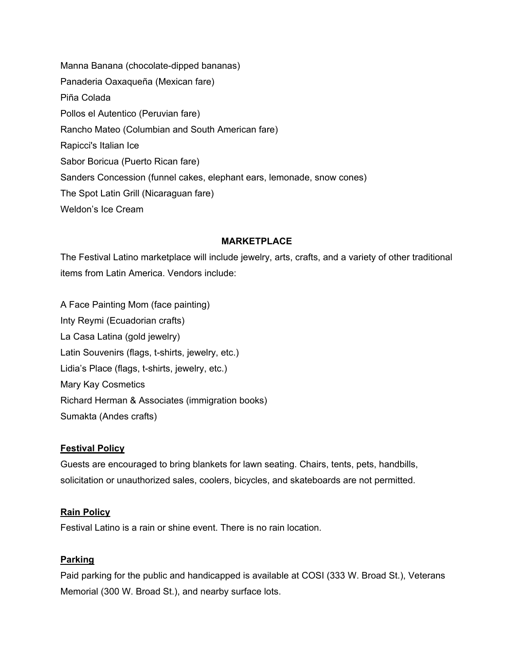Manna Banana (chocolate-dipped bananas) Panaderia Oaxaqueña (Mexican fare) Piña Colada Pollos el Autentico (Peruvian fare) Rancho Mateo (Columbian and South American fare) Rapicci's Italian Ice Sabor Boricua (Puerto Rican fare) Sanders Concession (funnel cakes, elephant ears, lemonade, snow cones) The Spot Latin Grill (Nicaraguan fare) Weldon's Ice Cream

#### **MARKETPLACE**

The Festival Latino marketplace will include jewelry, arts, crafts, and a variety of other traditional items from Latin America. Vendors include:

A Face Painting Mom (face painting) Inty Reymi (Ecuadorian crafts) La Casa Latina (gold jewelry) Latin Souvenirs (flags, t-shirts, jewelry, etc.) Lidia's Place (flags, t-shirts, jewelry, etc.) Mary Kay Cosmetics Richard Herman & Associates (immigration books) Sumakta (Andes crafts)

#### **Festival Policy**

Guests are encouraged to bring blankets for lawn seating. Chairs, tents, pets, handbills, solicitation or unauthorized sales, coolers, bicycles, and skateboards are not permitted.

#### **Rain Policy**

Festival Latino is a rain or shine event. There is no rain location.

#### **Parking**

Paid parking for the public and handicapped is available at COSI (333 W. Broad St.), Veterans Memorial (300 W. Broad St.), and nearby surface lots.